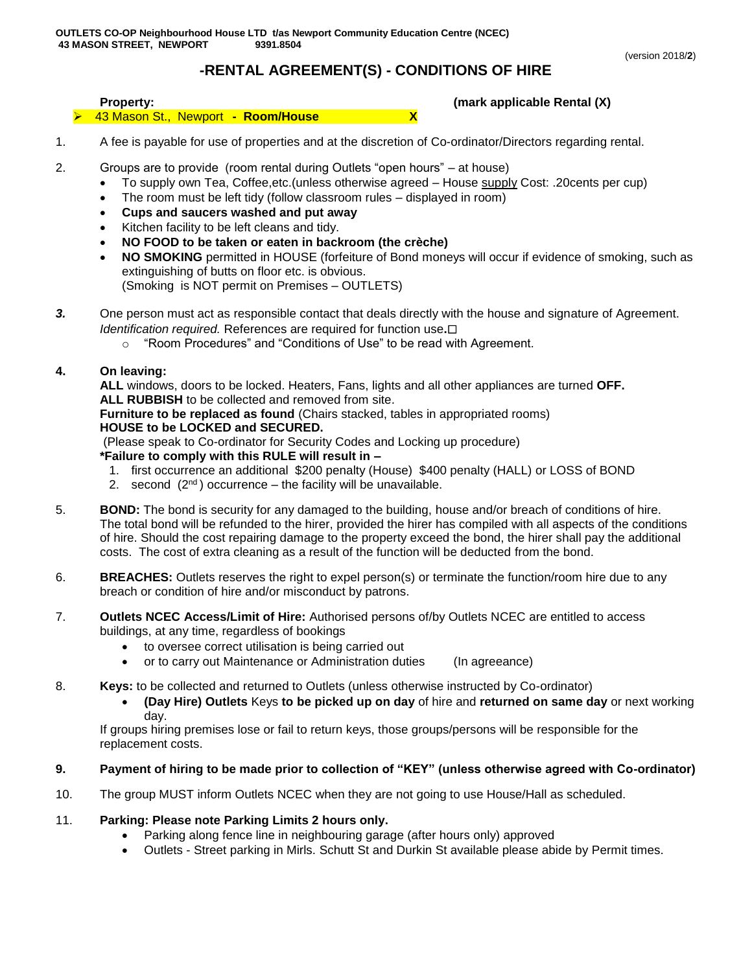# **-RENTAL AGREEMENT(S) - CONDITIONS OF HIRE**

#### **Property: (mark applicable Rental (X)** 43 Mason St., Newport **- Room/House X**

- 1. A fee is payable for use of properties and at the discretion of Co-ordinator/Directors regarding rental.
- 2. Groups are to provide (room rental during Outlets "open hours" at house)
	- To supply own Tea, Coffee,etc.(unless otherwise agreed House supply Cost: .20cents per cup)
	- The room must be left tidy (follow classroom rules displayed in room)
	- **Cups and saucers washed and put away**
	- Kitchen facility to be left cleans and tidy.
	- **NO FOOD to be taken or eaten in backroom (the crèche)**
	- **NO SMOKING** permitted in HOUSE (forfeiture of Bond moneys will occur if evidence of smoking, such as extinguishing of butts on floor etc. is obvious. (Smoking is NOT permit on Premises – OUTLETS)
- *3.* One person must act as responsible contact that deals directly with the house and signature of Agreement. *Identification required.* References are required for function use**.**
	- o "Room Procedures" and "Conditions of Use" to be read with Agreement.

## **4. On leaving:**

**ALL** windows, doors to be locked. Heaters, Fans, lights and all other appliances are turned **OFF. ALL RUBBISH** to be collected and removed from site.

**Furniture to be replaced as found** (Chairs stacked, tables in appropriated rooms) **HOUSE to be LOCKED and SECURED.**

(Please speak to Co-ordinator for Security Codes and Locking up procedure)

## **\*Failure to comply with this RULE will result in –**

- 1. first occurrence an additional \$200 penalty (House) \$400 penalty (HALL) or LOSS of BOND
- 2. second  $(2^{nd})$  occurrence the facility will be unavailable.
- 5. **BOND:** The bond is security for any damaged to the building, house and/or breach of conditions of hire. The total bond will be refunded to the hirer, provided the hirer has compiled with all aspects of the conditions of hire. Should the cost repairing damage to the property exceed the bond, the hirer shall pay the additional costs. The cost of extra cleaning as a result of the function will be deducted from the bond.
- 6. **BREACHES:** Outlets reserves the right to expel person(s) or terminate the function/room hire due to any breach or condition of hire and/or misconduct by patrons.
- 7. **Outlets NCEC Access/Limit of Hire:** Authorised persons of/by Outlets NCEC are entitled to access buildings, at any time, regardless of bookings
	- to oversee correct utilisation is being carried out
	- or to carry out Maintenance or Administration duties (In agreeance)
- 8. **Keys:** to be collected and returned to Outlets (unless otherwise instructed by Co-ordinator)
	- **(Day Hire) Outlets** Keys **to be picked up on day** of hire and **returned on same day** or next working day.

If groups hiring premises lose or fail to return keys, those groups/persons will be responsible for the replacement costs.

## **9. Payment of hiring to be made prior to collection of "KEY" (unless otherwise agreed with Co-ordinator)**

10. The group MUST inform Outlets NCEC when they are not going to use House/Hall as scheduled.

## 11. **Parking: Please note Parking Limits 2 hours only.**

- Parking along fence line in neighbouring garage (after hours only) approved
- Outlets Street parking in Mirls. Schutt St and Durkin St available please abide by Permit times.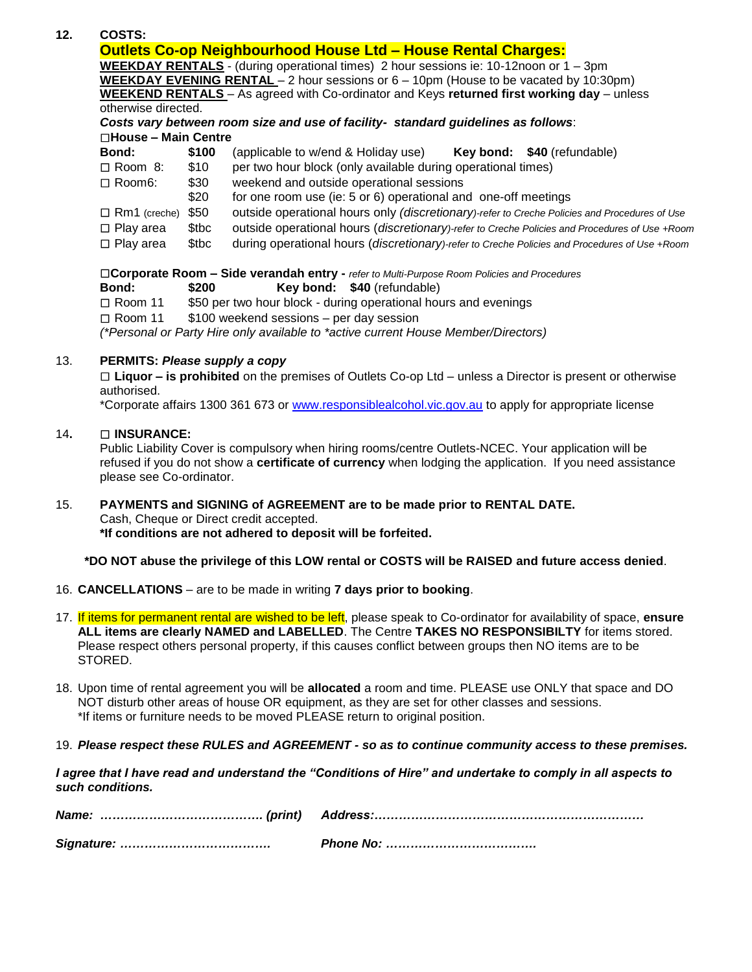|               | <b>Outlets Co-op Neighbourhood House Ltd - House Rental Charges:</b>                                                        |                                                                                               |  |  |  |  |  |  |
|---------------|-----------------------------------------------------------------------------------------------------------------------------|-----------------------------------------------------------------------------------------------|--|--|--|--|--|--|
|               | <b>WEEKDAY RENTALS</b> - (during operational times) 2 hour sessions ie: 10-12noon or $1 - 3$ pm                             |                                                                                               |  |  |  |  |  |  |
|               | <b>WEEKDAY EVENING RENTAL</b> $-$ 2 hour sessions or $6 - 10$ pm (House to be vacated by 10:30pm)                           |                                                                                               |  |  |  |  |  |  |
|               |                                                                                                                             | WEEKEND RENTALS - As agreed with Co-ordinator and Keys returned first working day - unless    |  |  |  |  |  |  |
|               | otherwise directed.                                                                                                         |                                                                                               |  |  |  |  |  |  |
|               |                                                                                                                             | Costs vary between room size and use of facility- standard guidelines as follows:             |  |  |  |  |  |  |
|               | $\square$ House – Main Centre                                                                                               |                                                                                               |  |  |  |  |  |  |
| Bond:         | \$100                                                                                                                       | (applicable to w/end & Holiday use) <b>Key bond:</b> $$40$ (refundable)                       |  |  |  |  |  |  |
|               | \$10<br>$\Box$ Room 8:                                                                                                      | per two hour block (only available during operational times)                                  |  |  |  |  |  |  |
| $\Box$ Room6: | \$30                                                                                                                        | weekend and outside operational sessions                                                      |  |  |  |  |  |  |
|               | \$20                                                                                                                        | for one room use (ie: 5 or 6) operational and one-off meetings                                |  |  |  |  |  |  |
|               | \$50<br>$\Box$ Rm1 (creche)                                                                                                 | outside operational hours only (discretionary)-refer to Creche Policies and Procedures of Use |  |  |  |  |  |  |
|               | \$tbc<br>outside operational hours (discretionary)-refer to Creche Policies and Procedures of Use +Room<br>$\Box$ Play area |                                                                                               |  |  |  |  |  |  |
|               | \$tbc<br>$\Box$ Play area                                                                                                   | during operational hours (discretionary)-refer to Creche Policies and Procedures of Use +Room |  |  |  |  |  |  |

- **Bond: \$200 Key bond: \$40** (refundable)
- □ Room 11 \$50 per two hour block during operational hours and evenings
- $\Box$  Room 11  $$100$  weekend sessions per day session

*(\*Personal or Party Hire only available to \*active current House Member/Directors)*

#### 13. **PERMITS:** *Please supply a copy*

 **Liquor – is prohibited** on the premises of Outlets Co-op Ltd – unless a Director is present or otherwise authorised.

\*Corporate affairs 1300 361 673 or [www.responsiblealcohol.vic.gov.au](http://www.responsiblealcohol.vic.gov.au/) to apply for appropriate license

#### 14**. INSURANCE:**

Public Liability Cover is compulsory when hiring rooms/centre Outlets-NCEC. Your application will be refused if you do not show a **certificate of currency** when lodging the application. If you need assistance please see Co-ordinator.

#### 15. **PAYMENTS and SIGNING of AGREEMENT are to be made prior to RENTAL DATE.** Cash, Cheque or Direct credit accepted.

**\*If conditions are not adhered to deposit will be forfeited.**

**\*DO NOT abuse the privilege of this LOW rental or COSTS will be RAISED and future access denied**.

- 16. **CANCELLATIONS** are to be made in writing **7 days prior to booking**.
- 17. If items for permanent rental are wished to be left, please speak to Co-ordinator for availability of space, **ensure ALL items are clearly NAMED and LABELLED**. The Centre **TAKES NO RESPONSIBILTY** for items stored. Please respect others personal property, if this causes conflict between groups then NO items are to be STORED.
- 18. Upon time of rental agreement you will be **allocated** a room and time. PLEASE use ONLY that space and DO NOT disturb other areas of house OR equipment, as they are set for other classes and sessions. \*If items or furniture needs to be moved PLEASE return to original position.
- 19. *Please respect these RULES and AGREEMENT - so as to continue community access to these premises.*

*I agree that I have read and understand the "Conditions of Hire" and undertake to comply in all aspects to such conditions.*